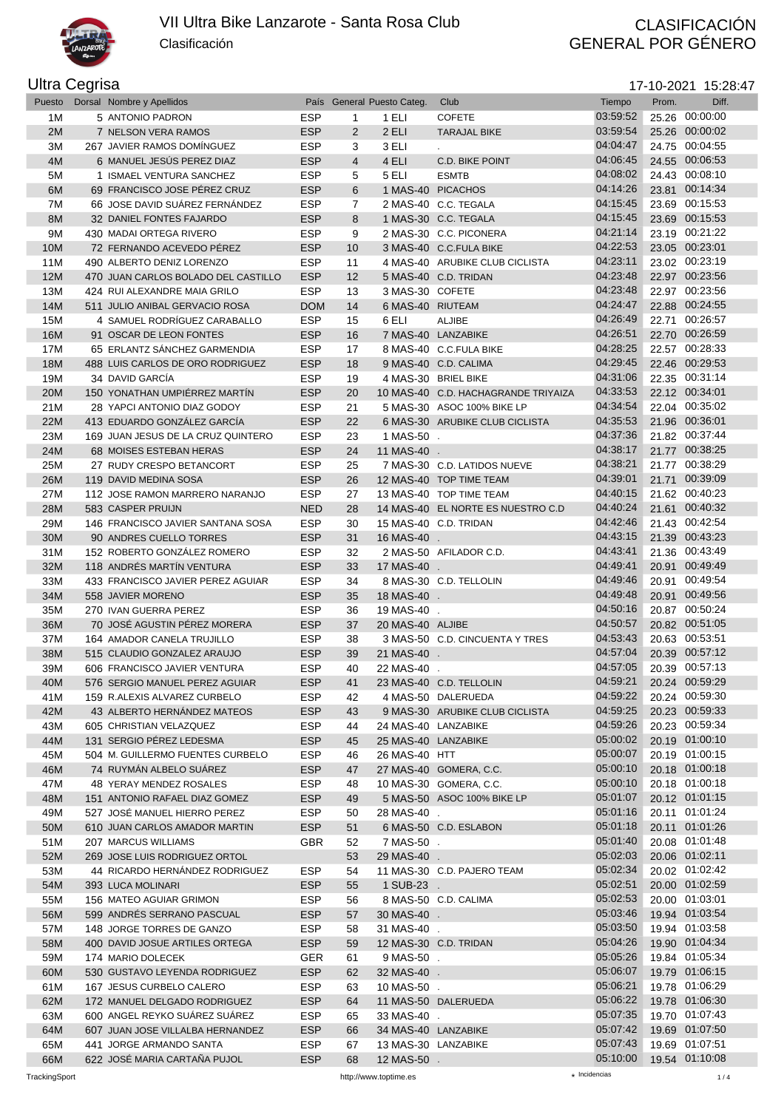

Clasificación

## GENERAL POR GÉNERO

## Ultra Cegrisa

| Puesto | Dorsal Nombre y Apellidos           |            |                | País General Puesto Categ. | Club                                | Tiempo   | Prom. | Diff.          |
|--------|-------------------------------------|------------|----------------|----------------------------|-------------------------------------|----------|-------|----------------|
| 1M     | 5 ANTONIO PADRON                    | <b>ESP</b> | 1              | 1 ELI                      | <b>COFETE</b>                       | 03:59:52 |       | 25.26 00:00:00 |
| 2M     | 7 NELSON VERA RAMOS                 | <b>ESP</b> | 2              | 2 ELI                      | <b>TARAJAL BIKE</b>                 | 03:59:54 |       | 25.26 00:00:02 |
| 3M     | 267 JAVIER RAMOS DOMÍNGUEZ          | <b>ESP</b> | 3              | 3 ELI                      |                                     | 04:04:47 |       | 24.75 00:04:55 |
| 4M     | 6 MANUEL JESÚS PEREZ DIAZ           | <b>ESP</b> | $\overline{4}$ | 4 ELI                      | <b>C.D. BIKE POINT</b>              | 04:06:45 |       | 24.55 00:06:53 |
|        |                                     |            |                |                            |                                     | 04:08:02 |       | 24.43 00:08:10 |
| 5M     | 1 ISMAEL VENTURA SANCHEZ            | <b>ESP</b> | 5              | 5 ELI                      | <b>ESMTB</b>                        |          |       |                |
| 6M     | 69 FRANCISCO JOSE PÉREZ CRUZ        | <b>ESP</b> | 6              |                            | 1 MAS-40 PICACHOS                   | 04:14:26 | 23.81 | 00:14:34       |
| 7M     | 66 JOSE DAVID SUÁREZ FERNÁNDEZ      | <b>ESP</b> | 7              |                            | 2 MAS-40 C.C. TEGALA                | 04:15:45 |       | 23.69 00:15:53 |
| 8M     | 32 DANIEL FONTES FAJARDO            | <b>ESP</b> | 8              |                            | 1 MAS-30 C.C. TEGALA                | 04:15:45 |       | 23.69 00:15:53 |
| 9M     | 430 MADAI ORTEGA RIVERO             | <b>ESP</b> | 9              |                            | 2 MAS-30 C.C. PICONERA              | 04:21:14 |       | 23.19 00:21:22 |
| 10M    | 72 FERNANDO ACEVEDO PÉREZ           | <b>ESP</b> | 10             |                            | 3 MAS-40 C.C.FULA BIKE              | 04:22:53 |       | 23.05 00:23:01 |
| 11M    | 490 ALBERTO DENIZ LORENZO           | <b>ESP</b> | 11             |                            | 4 MAS-40 ARUBIKE CLUB CICLISTA      | 04:23:11 |       | 23.02 00:23:19 |
| 12M    | 470 JUAN CARLOS BOLADO DEL CASTILLO | <b>ESP</b> | 12             |                            | 5 MAS-40 C.D. TRIDAN                | 04:23:48 |       | 22.97 00:23:56 |
| 13M    | 424 RUI ALEXANDRE MAIA GRILO        | <b>ESP</b> | 13             | 3 MAS-30 COFETE            |                                     | 04:23:48 |       | 22.97 00:23:56 |
| 14M    | 511 JULIO ANIBAL GERVACIO ROSA      | <b>DOM</b> | 14             | 6 MAS-40 RIUTEAM           |                                     | 04:24:47 |       | 22.88 00:24:55 |
| 15M    | 4 SAMUEL RODRÍGUEZ CARABALLO        | <b>ESP</b> | 15             | 6 ELI                      | <b>ALJIBE</b>                       | 04:26:49 |       | 22.71 00:26:57 |
| 16M    | 91 OSCAR DE LEON FONTES             | <b>ESP</b> | 16             |                            | 7 MAS-40 LANZABIKE                  | 04:26:51 |       | 22.70 00:26:59 |
| 17M    | 65 ERLANTZ SÁNCHEZ GARMENDIA        | <b>ESP</b> | 17             |                            | 8 MAS-40 C.C.FULA BIKE              | 04:28:25 |       | 22.57 00:28:33 |
| 18M    | 488 LUIS CARLOS DE ORO RODRIGUEZ    | <b>ESP</b> | 18             |                            | 9 MAS-40 C.D. CALIMA                | 04:29:45 |       | 22.46 00:29:53 |
|        | 34 DAVID GARCÍA                     |            |                |                            | 4 MAS-30 BRIEL BIKE                 | 04:31:06 |       | 22.35 00:31:14 |
| 19M    |                                     | <b>ESP</b> | 19             |                            |                                     |          |       |                |
| 20M    | 150 YONATHAN UMPIÉRREZ MARTÍN       | <b>ESP</b> | 20             |                            | 10 MAS-40 C.D. HACHAGRANDE TRIYAIZA | 04:33:53 |       | 22.12 00:34:01 |
| 21M    | 28 YAPCI ANTONIO DIAZ GODOY         | <b>ESP</b> | 21             |                            | 5 MAS-30 ASOC 100% BIKE LP          | 04:34:54 |       | 22.04 00:35:02 |
| 22M    | 413 EDUARDO GONZÁLEZ GARCÍA         | <b>ESP</b> | 22             |                            | 6 MAS-30 ARUBIKE CLUB CICLISTA      | 04:35:53 |       | 21.96 00:36:01 |
| 23M    | 169 JUAN JESUS DE LA CRUZ QUINTERO  | <b>ESP</b> | 23             | 1 MAS-50 .                 |                                     | 04:37:36 |       | 21.82 00:37:44 |
| 24M    | 68 MOISES ESTEBAN HERAS             | <b>ESP</b> | 24             | 11 MAS-40 .                |                                     | 04:38:17 |       | 21.77 00:38:25 |
| 25M    | 27 RUDY CRESPO BETANCORT            | <b>ESP</b> | 25             |                            | 7 MAS-30 C.D. LATIDOS NUEVE         | 04:38:21 |       | 21.77 00:38:29 |
| 26M    | 119 DAVID MEDINA SOSA               | <b>ESP</b> | 26             |                            | 12 MAS-40 TOP TIME TEAM             | 04:39:01 | 21.71 | 00:39:09       |
| 27M    | 112 JOSE RAMON MARRERO NARANJO      | <b>ESP</b> | 27             |                            | 13 MAS-40 TOP TIME TEAM             | 04:40:15 |       | 21.62 00:40:23 |
| 28M    | 583 CASPER PRUIJN                   | <b>NED</b> | 28             |                            | 14 MAS-40 EL NORTE ES NUESTRO C.D   | 04:40:24 |       | 21.61 00:40:32 |
| 29M    | 146 FRANCISCO JAVIER SANTANA SOSA   | <b>ESP</b> | 30             |                            | 15 MAS-40 C.D. TRIDAN               | 04:42:46 |       | 21.43 00:42:54 |
| 30M    | 90 ANDRES CUELLO TORRES             | <b>ESP</b> | 31             | 16 MAS-40 .                |                                     | 04:43:15 |       | 21.39 00:43:23 |
| 31M    | 152 ROBERTO GONZÁLEZ ROMERO         | <b>ESP</b> | 32             |                            | 2 MAS-50 AFILADOR C.D.              | 04:43:41 |       | 21.36 00:43:49 |
| 32M    | 118 ANDRÉS MARTÍN VENTURA           | <b>ESP</b> | 33             | 17 MAS-40 .                |                                     | 04:49:41 |       | 20.91 00:49:49 |
| 33M    | 433 FRANCISCO JAVIER PEREZ AGUIAR   | <b>ESP</b> | 34             |                            | 8 MAS-30 C.D. TELLOLIN              | 04:49:46 |       | 20.91 00:49:54 |
| 34M    | 558 JAVIER MORENO                   | <b>ESP</b> | 35             | 18 MAS-40 .                |                                     | 04:49:48 |       | 20.91 00:49:56 |
|        |                                     |            |                |                            |                                     | 04:50:16 |       | 20.87 00:50:24 |
| 35M    | 270 IVAN GUERRA PEREZ               | <b>ESP</b> | 36             | 19 MAS-40 .                |                                     | 04:50:57 |       | 20.82 00:51:05 |
| 36M    | 70 JOSÉ AGUSTIN PÉREZ MORERA        | <b>ESP</b> | 37             | 20 MAS-40 ALJIBE           |                                     | 04:53:43 |       |                |
| 37M    | 164 AMADOR CANELA TRUJILLO          | <b>ESP</b> | 38             |                            | 3 MAS-50 C.D. CINCUENTA Y TRES      |          |       | 20.63 00:53:51 |
| 38M    | 515 CLAUDIO GONZALEZ ARAUJO         | <b>ESP</b> | 39             | 21 MAS-40 .                |                                     | 04:57:04 |       | 20.39 00:57:12 |
| 39M    | 606 FRANCISCO JAVIER VENTURA        | <b>ESP</b> | 40             | 22 MAS-40 .                |                                     | 04:57:05 |       | 20.39 00:57:13 |
| 40M    | 576 SERGIO MANUEL PEREZ AGUIAR      | <b>ESP</b> | 41             |                            | 23 MAS-40 C.D. TELLOLIN             | 04:59:21 |       | 20.24 00:59:29 |
| 41M    | 159 R.ALEXIS ALVAREZ CURBELO        | <b>ESP</b> | 42             |                            | 4 MAS-50 DALERUEDA                  | 04:59:22 |       | 20.24 00:59:30 |
| 42M    | 43 ALBERTO HERNÁNDEZ MATEOS         | <b>ESP</b> | 43             |                            | 9 MAS-30 ARUBIKE CLUB CICLISTA      | 04:59:25 |       | 20.23 00:59:33 |
| 43M    | 605 CHRISTIAN VELAZQUEZ             | ESP        | 44             | 24 MAS-40 LANZABIKE        |                                     | 04:59:26 |       | 20.23 00:59:34 |
| 44M    | 131 SERGIO PÉREZ LEDESMA            | <b>ESP</b> | 45             | 25 MAS-40 LANZABIKE        |                                     | 05:00:02 |       | 20.19 01:00:10 |
| 45M    | 504 M. GUILLERMO FUENTES CURBELO    | <b>ESP</b> | 46             | 26 MAS-40 HTT              |                                     | 05:00:07 |       | 20.19 01:00:15 |
| 46M    | 74 RUYMÁN ALBELO SUÁREZ             | <b>ESP</b> | 47             |                            | 27 MAS-40 GOMERA, C.C.              | 05:00:10 |       | 20.18 01:00:18 |
| 47M    | 48 YERAY MENDEZ ROSALES             | <b>ESP</b> | 48             |                            | 10 MAS-30 GOMERA, C.C.              | 05:00:10 |       | 20.18 01:00:18 |
| 48M    | 151 ANTONIO RAFAEL DIAZ GOMEZ       | <b>ESP</b> | 49             |                            | 5 MAS-50 ASOC 100% BIKE LP          | 05:01:07 |       | 20.12 01:01:15 |
| 49M    | 527 JOSÉ MANUEL HIERRO PEREZ        | ESP        | 50             | 28 MAS-40 .                |                                     | 05:01:16 |       | 20.11 01:01:24 |
| 50M    | 610 JUAN CARLOS AMADOR MARTIN       | <b>ESP</b> | 51             |                            | 6 MAS-50 C.D. ESLABON               | 05:01:18 |       | 20.11 01:01:26 |
| 51M    | 207 MARCUS WILLIAMS                 | <b>GBR</b> | 52             | 7 MAS-50 .                 |                                     | 05:01:40 |       | 20.08 01:01:48 |
|        |                                     |            |                |                            |                                     | 05:02:03 |       | 20.06 01:02:11 |
| 52M    | 269 JOSE LUIS RODRIGUEZ ORTOL       |            | 53             | 29 MAS-40 .                |                                     | 05:02:34 |       |                |
| 53M    | 44 RICARDO HERNÁNDEZ RODRIGUEZ      | <b>ESP</b> | 54             |                            | 11 MAS-30 C.D. PAJERO TEAM          |          |       | 20.02 01:02:42 |
| 54M    | 393 LUCA MOLINARI                   | <b>ESP</b> | 55             | 1 SUB-23 .                 |                                     | 05:02:51 |       | 20.00 01:02:59 |
| 55M    | 156 MATEO AGUIAR GRIMON             | <b>ESP</b> | 56             |                            | 8 MAS-50 C.D. CALIMA                | 05:02:53 |       | 20.00 01:03:01 |
| 56M    | 599 ANDRÉS SERRANO PASCUAL          | <b>ESP</b> | 57             | 30 MAS-40 .                |                                     | 05:03:46 |       | 19.94 01:03:54 |
| 57M    | 148 JORGE TORRES DE GANZO           | <b>ESP</b> | 58             | 31 MAS-40 .                |                                     | 05:03:50 |       | 19.94 01:03:58 |
| 58M    | 400 DAVID JOSUE ARTILES ORTEGA      | <b>ESP</b> | 59             |                            | 12 MAS-30 C.D. TRIDAN               | 05:04:26 |       | 19.90 01:04:34 |
| 59M    | 174 MARIO DOLECEK                   | GER        | 61             | 9 MAS-50 .                 |                                     | 05:05:26 |       | 19.84 01:05:34 |
| 60M    | 530 GUSTAVO LEYENDA RODRIGUEZ       | <b>ESP</b> | 62             | 32 MAS-40 .                |                                     | 05:06:07 |       | 19.79 01:06:15 |
| 61M    | 167 JESUS CURBELO CALERO            | ESP        | 63             | 10 MAS-50 .                |                                     | 05:06:21 |       | 19.78 01:06:29 |
| 62M    | 172 MANUEL DELGADO RODRIGUEZ        | <b>ESP</b> | 64             |                            | 11 MAS-50 DALERUEDA                 | 05:06:22 |       | 19.78 01:06:30 |
| 63M    | 600 ANGEL REYKO SUAREZ SUAREZ       | <b>ESP</b> | 65             | 33 MAS-40 .                |                                     | 05:07:35 |       | 19.70 01:07:43 |
| 64M    | 607 JUAN JOSE VILLALBA HERNANDEZ    | <b>ESP</b> | 66             | 34 MAS-40 LANZABIKE        |                                     | 05:07:42 |       | 19.69 01:07:50 |
| 65M    | 441 JORGE ARMANDO SANTA             | <b>ESP</b> | 67             | 13 MAS-30 LANZABIKE        |                                     | 05:07:43 |       | 19.69 01:07:51 |
| 66M    | 622 JOSÉ MARIA CARTAÑA PUJOL        | <b>ESP</b> | 68             | 12 MAS-50 .                |                                     | 05:10:00 |       | 19.54 01:10:08 |
|        |                                     |            |                |                            |                                     |          |       |                |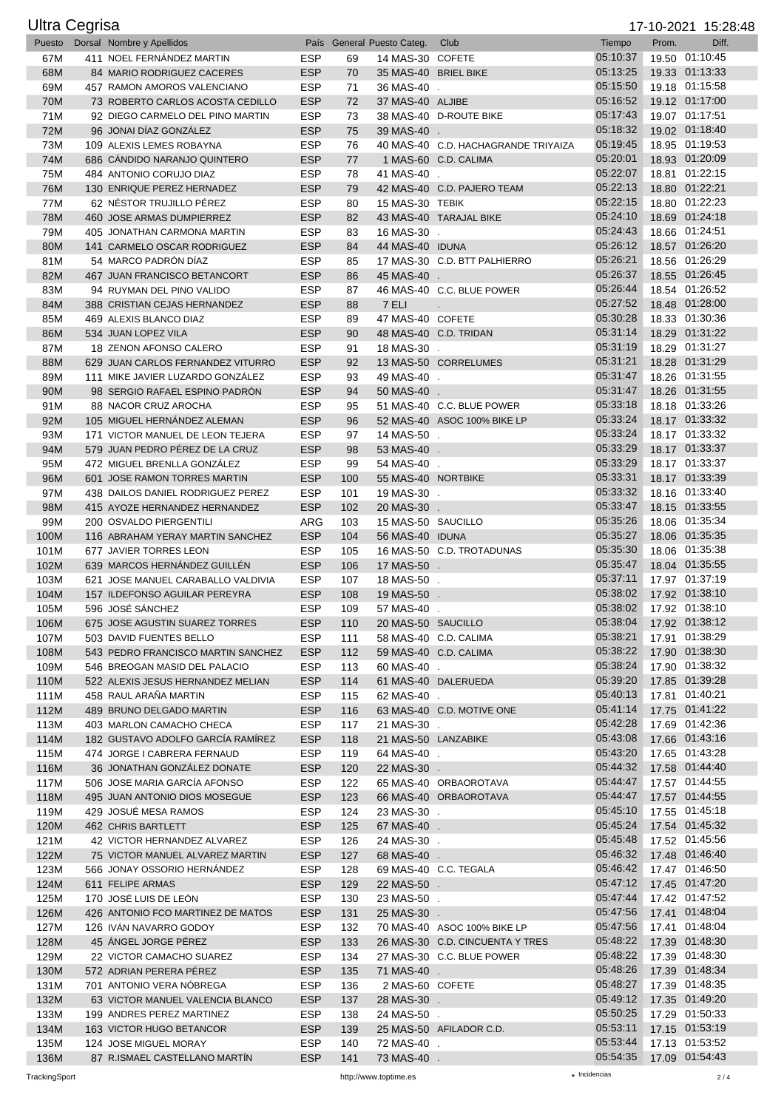|              | <b>Ultra Cegrisa</b> |                                                                       |                          |            |                                   |                                     |                      |       | 17-10-2021 15:28:48              |
|--------------|----------------------|-----------------------------------------------------------------------|--------------------------|------------|-----------------------------------|-------------------------------------|----------------------|-------|----------------------------------|
| Puesto       |                      | Dorsal Nombre y Apellidos                                             |                          |            | País General Puesto Categ.        | Club                                | Tiempo               | Prom. | Diff.                            |
| 67M          |                      | 411 NOEL FERNANDEZ MARTIN                                             | <b>ESP</b>               | 69         | 14 MAS-30 COFETE                  |                                     | 05:10:37             |       | 19.50 01:10:45                   |
| 68M          |                      | 84 MARIO RODRIGUEZ CACERES                                            | <b>ESP</b>               | 70         | 35 MAS-40 BRIEL BIKE              |                                     | 05:13:25             |       | 19.33 01:13:33                   |
| 69M          |                      | 457 RAMON AMOROS VALENCIANO                                           | <b>ESP</b>               | 71         | 36 MAS-40 .                       |                                     | 05:15:50             |       | 19.18 01:15:58                   |
| 70M          |                      | 73 ROBERTO CARLOS ACOSTA CEDILLO                                      | <b>ESP</b>               | 72         | 37 MAS-40 ALJIBE                  |                                     | 05:16:52             |       | 19.12 01:17:00                   |
| 71M          |                      | 92 DIEGO CARMELO DEL PINO MARTIN<br>96 JONAI DÍAZ GONZÁLEZ            | <b>ESP</b><br><b>ESP</b> | 73         |                                   | 38 MAS-40 D-ROUTE BIKE              | 05:17:43<br>05:18:32 |       | 19.07 01:17:51<br>19.02 01:18:40 |
| 72M<br>73M   |                      | 109 ALEXIS LEMES ROBAYNA                                              | <b>ESP</b>               | 75<br>76   | 39 MAS-40 .                       | 40 MAS-40 C.D. HACHAGRANDE TRIYAIZA | 05:19:45             |       | 18.95 01:19:53                   |
| 74M          |                      | 686 CANDIDO NARANJO QUINTERO                                          | <b>ESP</b>               | 77         |                                   | 1 MAS-60 C.D. CALIMA                | 05:20:01             |       | 18.93 01:20:09                   |
| 75M          |                      | 484 ANTONIO CORUJO DIAZ                                               | <b>ESP</b>               | 78         | 41 MAS-40 .                       |                                     | 05:22:07             |       | 18.81 01:22:15                   |
| 76M          |                      | 130 ENRIQUE PEREZ HERNADEZ                                            | <b>ESP</b>               | 79         |                                   | 42 MAS-40 C.D. PAJERO TEAM          | 05:22:13             |       | 18.80 01:22:21                   |
| 77M          |                      | 62 NÉSTOR TRUJILLO PÉREZ                                              | <b>ESP</b>               | 80         | 15 MAS-30 TEBIK                   |                                     | 05:22:15             |       | 18.80 01:22:23                   |
| 78M          |                      | 460 JOSE ARMAS DUMPIERREZ                                             | <b>ESP</b>               | 82         |                                   | 43 MAS-40 TARAJAL BIKE              | 05:24:10             |       | 18.69 01:24:18                   |
| 79M          |                      | 405 JONATHAN CARMONA MARTIN                                           | <b>ESP</b>               | 83         | 16 MAS-30 .                       |                                     | 05:24:43             |       | 18.66 01:24:51                   |
| 80M          |                      | 141 CARMELO OSCAR RODRIGUEZ                                           | <b>ESP</b>               | 84         | 44 MAS-40 IDUNA                   |                                     | 05:26:12             |       | 18.57 01:26:20                   |
| 81M          |                      | 54 MARCO PADRÓN DÍAZ                                                  | <b>ESP</b>               | 85         |                                   | 17 MAS-30 C.D. BTT PALHIERRO        | 05:26:21             |       | 18.56 01:26:29                   |
| 82M          |                      | 467 JUAN FRANCISCO BETANCORT                                          | <b>ESP</b>               | 86         | 45 MAS-40 .                       |                                     | 05:26:37             |       | 18.55 01:26:45                   |
| 83M          |                      | 94 RUYMAN DEL PINO VALIDO                                             | <b>ESP</b>               | 87         |                                   | 46 MAS-40 C.C. BLUE POWER           | 05:26:44             |       | 18.54 01:26:52                   |
| 84M          |                      | 388 CRISTIAN CEJAS HERNANDEZ                                          | <b>ESP</b>               | 88         | 7 ELI                             | $\epsilon$                          | 05:27:52             |       | 18.48 01:28:00                   |
| 85M          |                      | 469 ALEXIS BLANCO DIAZ                                                | <b>ESP</b>               | 89         | 47 MAS-40 COFETE                  |                                     | 05:30:28             |       | 18.33 01:30:36                   |
| 86M          |                      | 534 JUAN LOPEZ VILA                                                   | <b>ESP</b>               | 90         |                                   | 48 MAS-40 C.D. TRIDAN               | 05:31:14<br>05:31:19 |       | 18.29 01:31:22                   |
| 87M          |                      | 18 ZENON AFONSO CALERO                                                | <b>ESP</b>               | 91         | 18 MAS-30 .                       | 13 MAS-50 CORRELUMES                | 05:31:21             |       | 18.29 01:31:27<br>18.28 01:31:29 |
| 88M<br>89M   |                      | 629 JUAN CARLOS FERNANDEZ VITURRO<br>111 MIKE JAVIER LUZARDO GONZÁLEZ | <b>ESP</b><br><b>ESP</b> | 92<br>93   | 49 MAS-40 .                       |                                     | 05:31:47             |       | 18.26 01:31:55                   |
| 90M          |                      | 98 SERGIO RAFAEL ESPINO PADRÓN                                        | <b>ESP</b>               | 94         | 50 MAS-40 .                       |                                     | 05:31:47             |       | 18.26 01:31:55                   |
| 91M          |                      | 88 NACOR CRUZ AROCHA                                                  | <b>ESP</b>               | 95         |                                   | 51 MAS-40 C.C. BLUE POWER           | 05:33:18             |       | 18.18 01:33:26                   |
| 92M          |                      | 105 MIGUEL HERNÁNDEZ ALEMAN                                           | <b>ESP</b>               | 96         |                                   | 52 MAS-40 ASOC 100% BIKE LP         | 05:33:24             |       | 18.17 01:33:32                   |
| 93M          |                      | 171 VICTOR MANUEL DE LEON TEJERA                                      | <b>ESP</b>               | 97         | 14 MAS-50 .                       |                                     | 05:33:24             |       | 18.17 01:33:32                   |
| 94M          |                      | 579 JUAN PEDRO PÉREZ DE LA CRUZ                                       | <b>ESP</b>               | 98         | 53 MAS-40 .                       |                                     | 05:33:29             |       | 18.17 01:33:37                   |
| 95M          |                      | 472 MIGUEL BRENLLA GONZÁLEZ                                           | <b>ESP</b>               | 99         | 54 MAS-40 .                       |                                     | 05:33:29             |       | 18.17 01:33:37                   |
| 96M          |                      | 601 JOSE RAMON TORRES MARTIN                                          | <b>ESP</b>               | 100        | 55 MAS-40 NORTBIKE                |                                     | 05:33:31             |       | 18.17 01:33:39                   |
| 97M          |                      | 438 DAILOS DANIEL RODRIGUEZ PEREZ                                     | <b>ESP</b>               | 101        | 19 MAS-30 .                       |                                     | 05:33:32             |       | 18.16 01:33:40                   |
| 98M          |                      | 415 AYOZE HERNANDEZ HERNANDEZ                                         | <b>ESP</b>               | 102        | 20 MAS-30 .                       |                                     | 05:33:47             |       | 18.15 01:33:55                   |
| 99M          |                      | 200 OSVALDO PIERGENTILI                                               | ARG                      | 103        | 15 MAS-50 SAUCILLO                |                                     | 05:35:26             |       | 18.06 01:35:34                   |
| 100M         |                      | 116 ABRAHAM YERAY MARTIN SANCHEZ                                      | <b>ESP</b>               | 104        | 56 MAS-40 IDUNA                   |                                     | 05:35:27             |       | 18.06 01:35:35                   |
| 101M         |                      | 677 JAVIER TORRES LEON                                                | <b>ESP</b>               | 105        |                                   | 16 MAS-50 C.D. TROTADUNAS           | 05:35:30             |       | 18.06 01:35:38                   |
| 102M         |                      | 639 MARCOS HERNÁNDEZ GUILLÉN                                          | <b>ESP</b>               | 106        | 17 MAS-50 .                       |                                     | 05:35:47             |       | 18.04 01:35:55                   |
| 103M         |                      | 621 JOSE MANUEL CARABALLO VALDIVIA                                    | <b>ESP</b>               | 107        | 18 MAS-50 .                       |                                     | 05:37:11             |       | 17.97 01:37:19                   |
| 104M         |                      | 157 ILDEFONSO AGUILAR PEREYRA                                         | <b>ESP</b><br><b>ESP</b> | 108        | 19 MAS-50 .                       |                                     | 05:38:02<br>05:38:02 |       | 17.92 01:38:10<br>17.92 01:38:10 |
| 105M<br>106M |                      | 596 JOSÉ SÁNCHEZ<br>675 JOSE AGUSTIN SUAREZ TORRES                    | <b>ESP</b>               | 109<br>110 | 57 MAS-40 .<br>20 MAS-50 SAUCILLO |                                     | 05:38:04             |       | 17.92 01:38:12                   |
| 107M         |                      | 503 DAVID FUENTES BELLO                                               | ESP                      | 111        |                                   | 58 MAS-40 C.D. CALIMA               | 05:38:21             |       | 17.91 01:38:29                   |
| 108M         |                      | 543 PEDRO FRANCISCO MARTIN SANCHEZ                                    | <b>ESP</b>               | 112        |                                   | 59 MAS-40 C.D. CALIMA               | 05:38:22             |       | 17.90 01:38:30                   |
| 109M         |                      | 546 BREOGAN MASID DEL PALACIO                                         | <b>ESP</b>               | 113        | 60 MAS-40 .                       |                                     | 05:38:24             |       | 17.90 01:38:32                   |
| 110M         |                      | 522 ALEXIS JESUS HERNANDEZ MELIAN                                     | <b>ESP</b>               | 114        |                                   | 61 MAS-40 DALERUEDA                 | 05:39:20             |       | 17.85 01:39:28                   |
| 111M         |                      | 458 RAUL ARAÑA MARTIN                                                 | ESP                      | 115        | 62 MAS-40 .                       |                                     | 05:40:13             |       | 17.81 01:40:21                   |
| 112M         |                      | 489 BRUNO DELGADO MARTIN                                              | <b>ESP</b>               | 116        |                                   | 63 MAS-40 C.D. MOTIVE ONE           | 05:41:14             |       | 17.75 01:41:22                   |
| 113M         |                      | 403 MARLON CAMACHO CHECA                                              | <b>ESP</b>               | 117        | 21 MAS-30 .                       |                                     | 05:42:28             |       | 17.69 01:42:36                   |
| 114M         |                      | 182 GUSTAVO ADOLFO GARCÍA RAMÍREZ                                     | <b>ESP</b>               | 118        |                                   | 21 MAS-50 LANZABIKE                 | 05:43:08             |       | 17.66 01:43:16                   |
| 115M         |                      | 474 JORGE I CABRERA FERNAUD                                           | <b>ESP</b>               | 119        | 64 MAS-40 .                       |                                     | 05:43:20             |       | 17.65 01:43:28                   |
| 116M         |                      | 36 JONATHAN GONZALEZ DONATE                                           | <b>ESP</b>               | 120        | 22 MAS-30 .                       |                                     | 05:44:32             |       | 17.58 01:44:40                   |
| 117M         |                      | 506 JOSE MARIA GARCÍA AFONSO                                          | <b>ESP</b>               | 122        |                                   | 65 MAS-40 ORBAOROTAVA               | 05:44:47             |       | 17.57 01:44:55                   |
| 118M         |                      | 495 JUAN ANTONIO DIOS MOSEGUE                                         | <b>ESP</b>               | 123        |                                   | 66 MAS-40 ORBAOROTAVA               | 05:44:47<br>05:45:10 |       | 17.57 01:44:55                   |
| 119M<br>120M |                      | 429 JOSUÉ MESA RAMOS<br>462 CHRIS BARTLETT                            | ESP<br><b>ESP</b>        | 124<br>125 | 23 MAS-30 .<br>67 MAS-40 .        |                                     | 05:45:24             |       | 17.55 01:45:18<br>17.54 01:45:32 |
| 121M         |                      | 42 VICTOR HERNANDEZ ALVAREZ                                           | <b>ESP</b>               | 126        | 24 MAS-30 .                       |                                     | 05:45:48             |       | 17.52 01:45:56                   |
| 122M         |                      | 75 VICTOR MANUEL ALVAREZ MARTIN                                       | <b>ESP</b>               | 127        | 68 MAS-40 .                       |                                     | 05:46:32             |       | 17.48 01:46:40                   |
| 123M         |                      | 566 JONAY OSSORIO HERNANDEZ                                           | ESP                      | 128        |                                   | 69 MAS-40 C.C. TEGALA               | 05:46:42             |       | 17.47 01:46:50                   |
| 124M         |                      | 611 FELIPE ARMAS                                                      | <b>ESP</b>               | 129        | 22 MAS-50 .                       |                                     | 05:47:12             |       | 17.45 01:47:20                   |
| 125M         |                      | 170 JOSÉ LUIS DE LEÓN                                                 | <b>ESP</b>               | 130        | 23 MAS-50 .                       |                                     | 05:47:44             |       | 17.42 01:47:52                   |
| 126M         |                      | 426 ANTONIO FCO MARTINEZ DE MATOS                                     | <b>ESP</b>               | 131        | 25 MAS-30 .                       |                                     | 05:47:56             |       | 17.41 01:48:04                   |
| 127M         |                      | 126 IVAN NAVARRO GODOY                                                | <b>ESP</b>               | 132        |                                   | 70 MAS-40 ASOC 100% BIKE LP         | 05:47:56             |       | 17.41 01:48:04                   |
| 128M         |                      | 45 ANGEL JORGE PÉREZ                                                  | <b>ESP</b>               | 133        |                                   | 26 MAS-30 C.D. CINCUENTA Y TRES     | 05:48:22             |       | 17.39 01:48:30                   |
| 129M         |                      | 22 VICTOR CAMACHO SUAREZ                                              | ESP                      | 134        |                                   | 27 MAS-30 C.C. BLUE POWER           | 05:48:22             |       | 17.39 01:48:30                   |
| 130M         |                      | 572 ADRIAN PERERA PÉREZ                                               | <b>ESP</b>               | 135        | 71 MAS-40 .                       |                                     | 05:48:26             |       | 17.39 01:48:34                   |
| 131M         |                      | 701 ANTONIO VERA NÓBREGA                                              | ESP                      | 136        | 2 MAS-60 COFETE                   |                                     | 05:48:27             |       | 17.39 01:48:35                   |
| 132M         |                      | 63 VICTOR MANUEL VALENCIA BLANCO                                      | <b>ESP</b>               | 137        | 28 MAS-30 .                       |                                     | 05:49:12             |       | 17.35 01:49:20                   |
| 133M         |                      | 199 ANDRES PEREZ MARTINEZ                                             | <b>ESP</b>               | 138        | 24 MAS-50 .                       |                                     | 05:50:25             |       | 17.29 01:50:33                   |
| 134M         |                      | 163 VICTOR HUGO BETANCOR                                              | <b>ESP</b>               | 139        |                                   | 25 MAS-50 AFILADOR C.D.             | 05:53:11<br>05:53:44 |       | 17.15 01:53:19                   |
| 135M<br>136M |                      | 124 JOSE MIGUEL MORAY<br>87 R.ISMAEL CASTELLANO MARTÍN                | <b>ESP</b><br><b>ESP</b> | 140<br>141 | 72 MAS-40 .<br>73 MAS-40 .        |                                     | 05:54:35             |       | 17.13 01:53:52<br>17.09 01:54:43 |
|              |                      |                                                                       |                          |            |                                   |                                     |                      |       |                                  |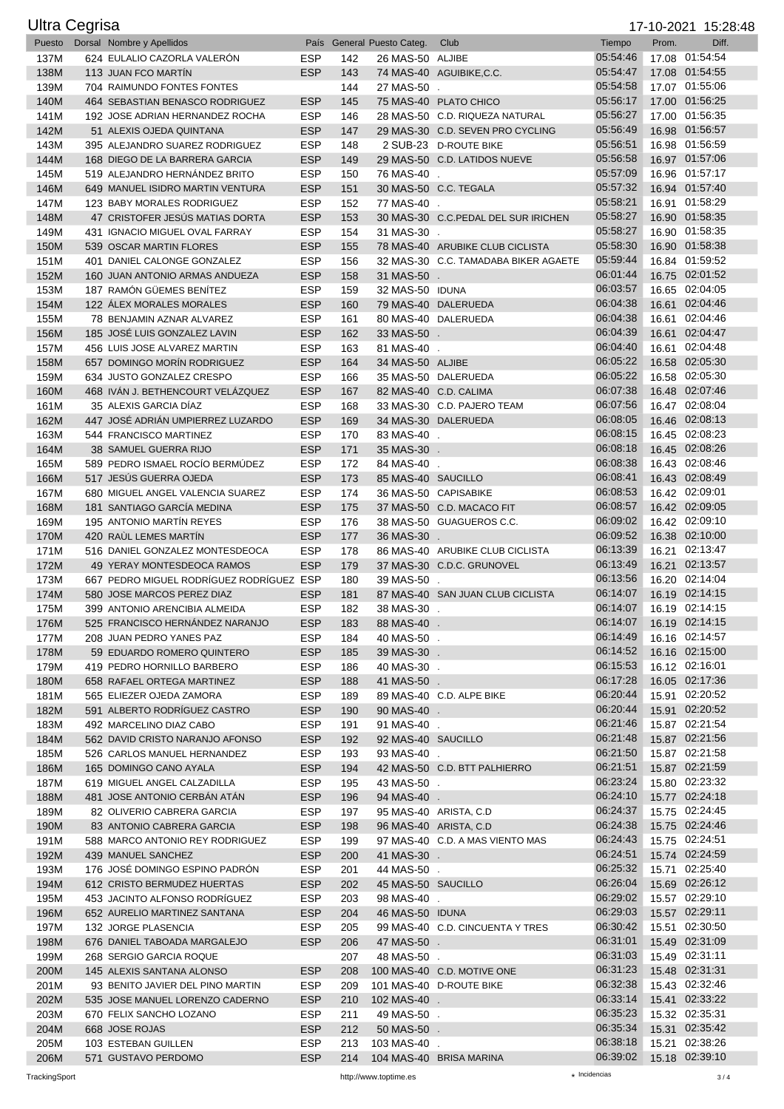|              | <b>Ultra Cegrisa</b> |                                                                    |                          |            |                                   |                                                         |                      |       | 17-10-2021 15:28:48              |
|--------------|----------------------|--------------------------------------------------------------------|--------------------------|------------|-----------------------------------|---------------------------------------------------------|----------------------|-------|----------------------------------|
| Puesto       |                      | Dorsal Nombre y Apellidos                                          |                          |            | País General Puesto Categ.        | Club                                                    | Tiempo               | Prom. | Diff.                            |
| 137M         |                      | 624 EULALIO CAZORLA VALERÓN                                        | <b>ESP</b>               | 142        | 26 MAS-50 ALJIBE                  |                                                         | 05:54:46             |       | 17.08 01:54:54                   |
| 138M         |                      | 113 JUAN FCO MARTIN                                                | <b>ESP</b>               | 143        |                                   | 74 MAS-40 AGUIBIKE, C.C.                                | 05:54:47             |       | 17.08 01:54:55                   |
| 139M         |                      | 704 RAIMUNDO FONTES FONTES                                         |                          | 144<br>145 | 27 MAS-50                         |                                                         | 05:54:58<br>05:56:17 |       | 17.07 01:55:06<br>17.00 01:56:25 |
| 140M<br>141M |                      | 464 SEBASTIAN BENASCO RODRIGUEZ<br>192 JOSE ADRIAN HERNANDEZ ROCHA | <b>ESP</b><br><b>ESP</b> | 146        |                                   | 75 MAS-40 PLATO CHICO<br>28 MAS-50 C.D. RIQUEZA NATURAL | 05:56:27             |       | 17.00 01:56:35                   |
| 142M         |                      | 51 ALEXIS OJEDA QUINTANA                                           | <b>ESP</b>               | 147        |                                   | 29 MAS-30 C.D. SEVEN PRO CYCLING                        | 05:56:49             |       | 16.98 01:56:57                   |
| 143M         |                      | 395 ALEJANDRO SUAREZ RODRIGUEZ                                     | <b>ESP</b>               | 148        |                                   | 2 SUB-23 D-ROUTE BIKE                                   | 05:56:51             |       | 16.98 01:56:59                   |
| 144M         |                      | 168 DIEGO DE LA BARRERA GARCIA                                     | <b>ESP</b>               | 149        |                                   | 29 MAS-50 C.D. LATIDOS NUEVE                            | 05:56:58             |       | 16.97 01:57:06                   |
| 145M         |                      | 519 ALEJANDRO HERNÁNDEZ BRITO                                      | <b>ESP</b>               | 150        | 76 MAS-40 .                       |                                                         | 05:57:09             |       | 16.96 01:57:17                   |
| 146M         |                      | 649 MANUEL ISIDRO MARTIN VENTURA                                   | <b>ESP</b>               | 151        |                                   | 30 MAS-50 C.C. TEGALA                                   | 05:57:32             |       | 16.94 01:57:40                   |
| 147M         |                      | 123 BABY MORALES RODRIGUEZ                                         | <b>ESP</b>               | 152        | 77 MAS-40 .                       |                                                         | 05:58:21             |       | 16.91 01:58:29                   |
| 148M         |                      | 47 CRISTOFER JESÚS MATIAS DORTA                                    | <b>ESP</b>               | 153        |                                   | 30 MAS-30 C.C.PEDAL DEL SUR IRICHEN                     | 05:58:27             |       | 16.90 01:58:35                   |
| 149M         |                      | 431 IGNACIO MIGUEL OVAL FARRAY<br>539 OSCAR MARTIN FLORES          | <b>ESP</b><br><b>ESP</b> | 154        | 31 MAS-30 .                       | 78 MAS-40 ARUBIKE CLUB CICLISTA                         | 05:58:27<br>05:58:30 |       | 16.90 01:58:35<br>16.90 01:58:38 |
| 150M<br>151M |                      | 401 DANIEL CALONGE GONZALEZ                                        | <b>ESP</b>               | 155<br>156 |                                   | 32 MAS-30 C.C. TAMADABA BIKER AGAETE                    | 05:59:44             |       | 16.84 01:59:52                   |
| 152M         |                      | 160 JUAN ANTONIO ARMAS ANDUEZA                                     | <b>ESP</b>               | 158        | 31 MAS-50 .                       |                                                         | 06:01:44             |       | 16.75 02:01:52                   |
| 153M         |                      | 187 RAMÓN GÜEMES BENÍTEZ                                           | <b>ESP</b>               | 159        | 32 MAS-50 IDUNA                   |                                                         | 06:03:57             |       | 16.65 02:04:05                   |
| 154M         |                      | 122 ALEX MORALES MORALES                                           | <b>ESP</b>               | 160        |                                   | 79 MAS-40 DALERUEDA                                     | 06:04:38             |       | 16.61 02:04:46                   |
| 155M         |                      | 78 BENJAMIN AZNAR ALVAREZ                                          | <b>ESP</b>               | 161        |                                   | 80 MAS-40 DALERUEDA                                     | 06:04:38             |       | 16.61 02:04:46                   |
| 156M         |                      | 185 JOSÉ LUIS GONZALEZ LAVIN                                       | <b>ESP</b>               | 162        | 33 MAS-50 .                       |                                                         | 06:04:39             |       | 16.61 02:04:47                   |
| 157M         |                      | 456 LUIS JOSE ALVAREZ MARTIN                                       | <b>ESP</b>               | 163        | 81 MAS-40 .                       |                                                         | 06:04:40             |       | 16.61 02:04:48                   |
| 158M         |                      | 657 DOMINGO MORÍN RODRIGUEZ                                        | <b>ESP</b>               | 164        | 34 MAS-50 ALJIBE                  |                                                         | 06:05:22<br>06:05:22 |       | 16.58 02:05:30<br>16.58 02:05:30 |
| 159M<br>160M |                      | 634 JUSTO GONZALEZ CRESPO<br>468 IVAN J. BETHENCOURT VELAZQUEZ     | <b>ESP</b><br><b>ESP</b> | 166<br>167 |                                   | 35 MAS-50 DALERUEDA<br>82 MAS-40 C.D. CALIMA            | 06:07:38             |       | 16.48 02:07:46                   |
| 161M         |                      | 35 ALEXIS GARCIA DIAZ                                              | <b>ESP</b>               | 168        |                                   | 33 MAS-30 C.D. PAJERO TEAM                              | 06:07:56             |       | 16.47 02:08:04                   |
| 162M         |                      | 447 JOSÉ ADRIÁN UMPIERREZ LUZARDO                                  | <b>ESP</b>               | 169        |                                   | 34 MAS-30 DALERUEDA                                     | 06:08:05             |       | 16.46 02:08:13                   |
| 163M         |                      | 544 FRANCISCO MARTINEZ                                             | <b>ESP</b>               | 170        | 83 MAS-40 .                       |                                                         | 06:08:15             |       | 16.45 02:08:23                   |
| 164M         |                      | 38 SAMUEL GUERRA RIJO                                              | <b>ESP</b>               | 171        | 35 MAS-30 .                       |                                                         | 06:08:18             |       | 16.45 02:08:26                   |
| 165M         |                      | 589 PEDRO ISMAEL ROCÍO BERMÚDEZ                                    | <b>ESP</b>               | 172        | 84 MAS-40 .                       |                                                         | 06:08:38             |       | 16.43 02:08:46                   |
| 166M         |                      | 517 JESÚS GUERRA OJEDA                                             | <b>ESP</b>               | 173        | 85 MAS-40 SAUCILLO                |                                                         | 06:08:41             |       | 16.43 02:08:49                   |
| 167M         |                      | 680 MIGUEL ANGEL VALENCIA SUAREZ                                   | <b>ESP</b>               | 174        |                                   | 36 MAS-50 CAPISABIKE                                    | 06:08:53             |       | 16.42 02:09:01<br>16.42 02:09:05 |
| 168M<br>169M |                      | 181 SANTIAGO GARCÍA MEDINA<br>195 ANTONIO MARTIN REYES             | <b>ESP</b><br><b>ESP</b> | 175<br>176 |                                   | 37 MAS-50 C.D. MACACO FIT<br>38 MAS-50 GUAGUEROS C.C.   | 06:08:57<br>06:09:02 |       | 16.42 02:09:10                   |
| 170M         |                      | 420 RAUL LEMES MARTIN                                              | <b>ESP</b>               | 177        | 36 MAS-30 .                       |                                                         | 06:09:52             |       | 16.38 02:10:00                   |
| 171M         |                      | 516 DANIEL GONZALEZ MONTESDEOCA                                    | <b>ESP</b>               | 178        |                                   | 86 MAS-40 ARUBIKE CLUB CICLISTA                         | 06:13:39             |       | 16.21 02:13:47                   |
| 172M         |                      | 49 YERAY MONTESDEOCA RAMOS                                         | <b>ESP</b>               | 179        |                                   | 37 MAS-30 C.D.C. GRUNOVEL                               | 06:13:49             |       | 16.21 02:13:57                   |
| 173M         |                      | 667 PEDRO MIGUEL RODRÍGUEZ RODRÍGUEZ ESP                           |                          | 180        | 39 MAS-50 .                       |                                                         | 06:13:56             |       | 16.20 02:14:04                   |
| 174M         |                      | 580 JOSE MARCOS PEREZ DIAZ                                         | <b>ESP</b>               | 181        |                                   | 87 MAS-40 SAN JUAN CLUB CICLISTA                        | 06:14:07             |       | 16.19 02:14:15                   |
| 175M         |                      | 399 ANTONIO ARENCIBIA ALMEIDA                                      | <b>ESP</b>               | 182        | 38 MAS-30 .                       |                                                         | 06:14:07             |       | 16.19 02:14:15                   |
| 176M<br>177M |                      | 525 FRANCISCO HERNÁNDEZ NARANJO<br>208 JUAN PEDRO YANES PAZ        | <b>ESP</b><br><b>ESP</b> | 183<br>184 | 88 MAS-40 .<br>40 MAS-50 .        |                                                         | 06:14:07<br>06:14:49 |       | 16.19 02:14:15<br>16.16 02:14:57 |
| 178M         |                      | 59 EDUARDO ROMERO QUINTERO                                         | ESP                      | 185        | 39 MAS-30 .                       |                                                         | 06:14:52             |       | 16.16 02:15:00                   |
| 179M         |                      | 419 PEDRO HORNILLO BARBERO                                         | <b>ESP</b>               | 186        | 40 MAS-30 .                       |                                                         | 06:15:53             |       | 16.12 02:16:01                   |
| 180M         |                      | 658 RAFAEL ORTEGA MARTINEZ                                         | <b>ESP</b>               | 188        | 41 MAS-50 .                       |                                                         | 06:17:28             |       | 16.05 02:17:36                   |
| 181M         |                      | 565 ELIEZER OJEDA ZAMORA                                           | ESP                      | 189        |                                   | 89 MAS-40 C.D. ALPE BIKE                                | 06:20:44             |       | 15.91 02:20:52                   |
| 182M         |                      | 591 ALBERTO RODRÍGUEZ CASTRO                                       | <b>ESP</b>               | 190        | 90 MAS-40 .                       |                                                         | 06:20:44             |       | 15.91 02:20:52                   |
| 183M         |                      | 492 MARCELINO DIAZ CABO                                            | <b>ESP</b>               | 191        | 91 MAS-40 .                       |                                                         | 06:21:46             |       | 15.87 02:21:54                   |
| 184M         |                      | 562 DAVID CRISTO NARANJO AFONSO<br>526 CARLOS MANUEL HERNANDEZ     | <b>ESP</b>               | 192        | 92 MAS-40 SAUCILLO                |                                                         | 06:21:48<br>06:21:50 |       | 15.87 02:21:56<br>15.87 02:21:58 |
| 185M<br>186M |                      | 165 DOMINGO CANO AYALA                                             | <b>ESP</b><br><b>ESP</b> | 193<br>194 | 93 MAS-40 .                       | 42 MAS-50 C.D. BTT PALHIERRO                            | 06:21:51             |       | 15.87 02:21:59                   |
| 187M         |                      | 619 MIGUEL ANGEL CALZADILLA                                        | <b>ESP</b>               | 195        | 43 MAS-50 .                       |                                                         | 06:23:24             |       | 15.80 02:23:32                   |
| 188M         |                      | 481 JOSE ANTONIO CERBAN ATAN                                       | <b>ESP</b>               | 196        | 94 MAS-40 .                       |                                                         | 06:24:10             |       | 15.77 02:24:18                   |
| 189M         |                      | 82 OLIVERIO CABRERA GARCIA                                         | <b>ESP</b>               | 197        |                                   | 95 MAS-40 ARISTA, C.D.                                  | 06:24:37             |       | 15.75 02:24:45                   |
| 190M         |                      | 83 ANTONIO CABRERA GARCIA                                          | <b>ESP</b>               | 198        |                                   | 96 MAS-40 ARISTA, C.D.                                  | 06:24:38             |       | 15.75 02:24:46                   |
| 191M         |                      | 588 MARCO ANTONIO REY RODRIGUEZ                                    | <b>ESP</b>               | 199        |                                   | 97 MAS-40 C.D. A MAS VIENTO MAS                         | 06:24:43             |       | 15.75 02:24:51                   |
| 192M         |                      | 439 MANUEL SANCHEZ                                                 | <b>ESP</b>               | 200        | 41 MAS-30 .                       |                                                         | 06:24:51             |       | 15.74 02:24:59                   |
| 193M         |                      | 176 JOSÉ DOMINGO ESPINO PADRÓN                                     | <b>ESP</b>               | 201        | 44 MAS-50 .                       |                                                         | 06:25:32<br>06:26:04 |       | 15.71 02:25:40<br>15.69 02:26:12 |
| 194M<br>195M |                      | 612 CRISTO BERMUDEZ HUERTAS<br>453 JACINTO ALFONSO RODRÍGUEZ       | <b>ESP</b><br><b>ESP</b> | 202<br>203 | 45 MAS-50 SAUCILLO<br>98 MAS-40 . |                                                         | 06:29:02             |       | 15.57 02:29:10                   |
| 196M         |                      | 652 AURELIO MARTINEZ SANTANA                                       | <b>ESP</b>               | 204        | 46 MAS-50 IDUNA                   |                                                         | 06:29:03             |       | 15.57 02:29:11                   |
| 197M         |                      | 132 JORGE PLASENCIA                                                | <b>ESP</b>               | 205        |                                   | 99 MAS-40 C.D. CINCUENTA Y TRES                         | 06:30:42             |       | 15.51 02:30:50                   |
| 198M         |                      | 676 DANIEL TABOADA MARGALEJO                                       | <b>ESP</b>               | 206        | 47 MAS-50 .                       |                                                         | 06:31:01             |       | 15.49 02:31:09                   |
| 199M         |                      | 268 SERGIO GARCIA ROQUE                                            |                          | 207        | 48 MAS-50 .                       |                                                         | 06:31:03             |       | 15.49 02:31:11                   |
| 200M         |                      | 145 ALEXIS SANTANA ALONSO                                          | <b>ESP</b>               | 208        |                                   | 100 MAS-40 C.D. MOTIVE ONE                              | 06:31:23             |       | 15.48 02:31:31                   |
| 201M         |                      | 93 BENITO JAVIER DEL PINO MARTIN                                   | <b>ESP</b>               | 209        |                                   | 101 MAS-40 D-ROUTE BIKE                                 | 06:32:38             |       | 15.43 02:32:46                   |
| 202M         |                      | 535 JOSE MANUEL LORENZO CADERNO                                    | <b>ESP</b>               | 210        | 102 MAS-40 .                      |                                                         | 06:33:14<br>06:35:23 |       | 15.41 02:33:22<br>15.32 02:35:31 |
| 203M<br>204M |                      | 670 FELIX SANCHO LOZANO<br>668 JOSE ROJAS                          | <b>ESP</b><br><b>ESP</b> | 211<br>212 | 49 MAS-50 .<br>50 MAS-50 .        |                                                         | 06:35:34             |       | 15.31 02:35:42                   |
| 205M         |                      | 103 ESTEBAN GUILLEN                                                | <b>ESP</b>               | 213        | 103 MAS-40 .                      |                                                         | 06:38:18             |       | 15.21 02:38:26                   |
| 206M         |                      | 571 GUSTAVO PERDOMO                                                | <b>ESP</b>               |            |                                   | 214 104 MAS-40 BRISA MARINA                             | 06:39:02             |       | 15.18 02:39:10                   |